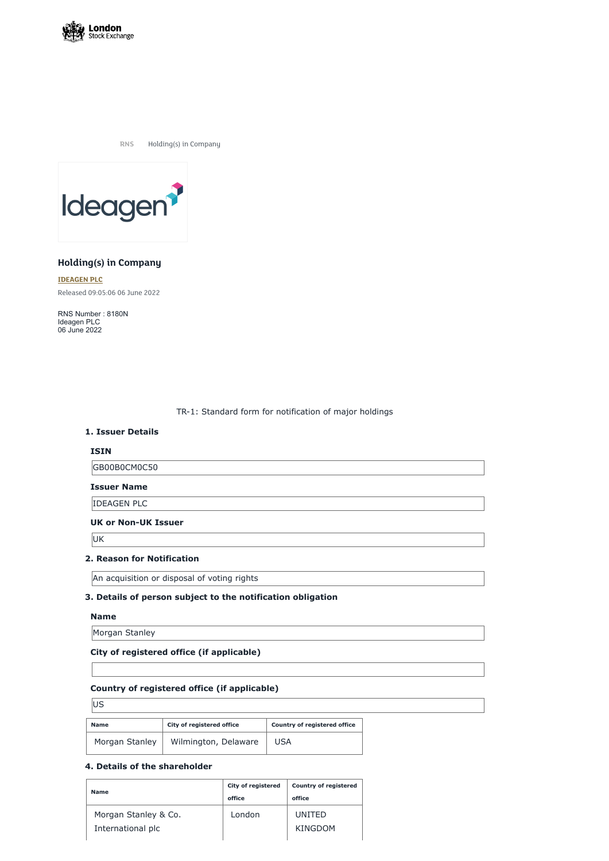

**RNS** Holding(s) in Company



# **Holding(s) in Company**

**[IDEAGEN](https://www.londonstockexchange.com/stock/IDEA/ideagen-plc) PLC** Released 09:05:06 06 June 2022

RNS Number : 8180N Ideagen PLC 06 June 2022

TR-1: Standard form for notification of major holdings

#### **1. Issuer Details**

### **ISIN**

GB00B0CM0C50

**Issuer Name**

IDEAGEN PLC

#### **UK or Non-UK Issuer**

UK

## **2. Reason for Notification**

An acquisition or disposal of voting rights

# **3. Details of person subject to the notification obligation**

#### **Name**

Morgan Stanley

#### **City of registered office (if applicable)**

# **Country of registered office (if applicable)**

US

| <b>Name</b>    | City of registered office | <b>Country of registered office</b> |
|----------------|---------------------------|-------------------------------------|
| Morgan Stanley | Wilmington, Delaware      | USA                                 |

## **4. Details of the shareholder**

| <b>City of registered</b><br>office | <b>Country of registered</b><br>office |  |
|-------------------------------------|----------------------------------------|--|
| London                              | UNITED                                 |  |
|                                     | KINGDOM                                |  |
|                                     |                                        |  |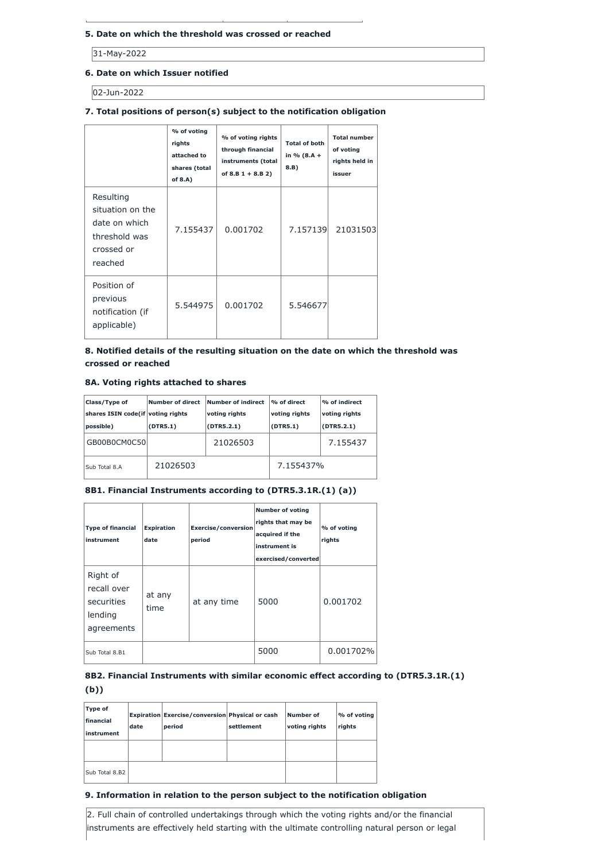## **5. Date on which the threshold was crossed or reached**

31-May-2022

# **6. Date on which Issuer notified**

02-Jun-2022

# **7. Total positions of person(s) subject to the notification obligation**

|                                                                                          | % of voting<br>rights<br>attached to<br>shares (total<br>of $8.A$ ) | % of voting rights<br>through financial<br>instruments (total<br>of $8.B 1 + 8.B 2)$ | <b>Total of both</b><br>in $% (8.A +$<br>8.B) | <b>Total number</b><br>of voting<br>rights held in<br>issuer |
|------------------------------------------------------------------------------------------|---------------------------------------------------------------------|--------------------------------------------------------------------------------------|-----------------------------------------------|--------------------------------------------------------------|
| Resulting<br>situation on the<br>date on which<br>threshold was<br>crossed or<br>reached | 7.155437                                                            | 0.001702                                                                             | 7.157139                                      | 21031503                                                     |
| Position of<br>previous<br>notification (if<br>applicable)                               | 5.544975                                                            | 0.001702                                                                             | 5.546677                                      |                                                              |

# **8. Notified details of the resulting situation on the date on which the threshold was crossed or reached**

# **8A. Voting rights attached to shares**

| Class/Type of<br>shares ISIN code(if voting rights<br>possible) | Number of direct<br>(DTR5.1) | Number of indirect<br>voting rights<br>(DTR5.2.1) | % of direct<br>voting rights<br>(DTR5.1) | $\%$ of indirect<br>voting rights<br>(DTR5.2.1) |
|-----------------------------------------------------------------|------------------------------|---------------------------------------------------|------------------------------------------|-------------------------------------------------|
| GB00B0CM0C50                                                    |                              | 21026503                                          |                                          | 7.155437                                        |
| Sub Total 8.A                                                   | 21026503                     |                                                   | 7.155437%                                |                                                 |

# **8B1. Financial Instruments according to (DTR5.3.1R.(1) (a))**

| <b>Type of financial</b><br>instrument                         | <b>Expiration</b><br>date | <b>Exercise/conversion</b><br>period | <b>Number of voting</b><br>rights that may be<br>acquired if the<br>instrument is<br>exercised/converted | % of voting<br>rights |
|----------------------------------------------------------------|---------------------------|--------------------------------------|----------------------------------------------------------------------------------------------------------|-----------------------|
| Right of<br>recall over<br>securities<br>lending<br>agreements | at any<br>time            | at any time                          | 5000                                                                                                     | 0.001702              |
|                                                                |                           |                                      |                                                                                                          |                       |

| Sub Total 8.B1 | 5000 | $\frac{1}{2}$ 0.001702% |  |
|----------------|------|-------------------------|--|
|                |      |                         |  |

# **8B2. Financial Instruments with similar economic effect according to (DTR5.3.1R.(1)**

**(b))**

| Type of<br>financial<br>linstrument | date | Expiration Exercise/conversion Physical or cash<br>period | settlement | Number of<br>voting rights | % of voting<br>rights |
|-------------------------------------|------|-----------------------------------------------------------|------------|----------------------------|-----------------------|
| Sub Total 8.B2                      |      |                                                           |            |                            |                       |

# **9. Information in relation to the person subject to the notification obligation**

2. Full chain of controlled undertakings through which the voting rights and/or the financial instruments are effectively held starting with the ultimate controlling natural person or legal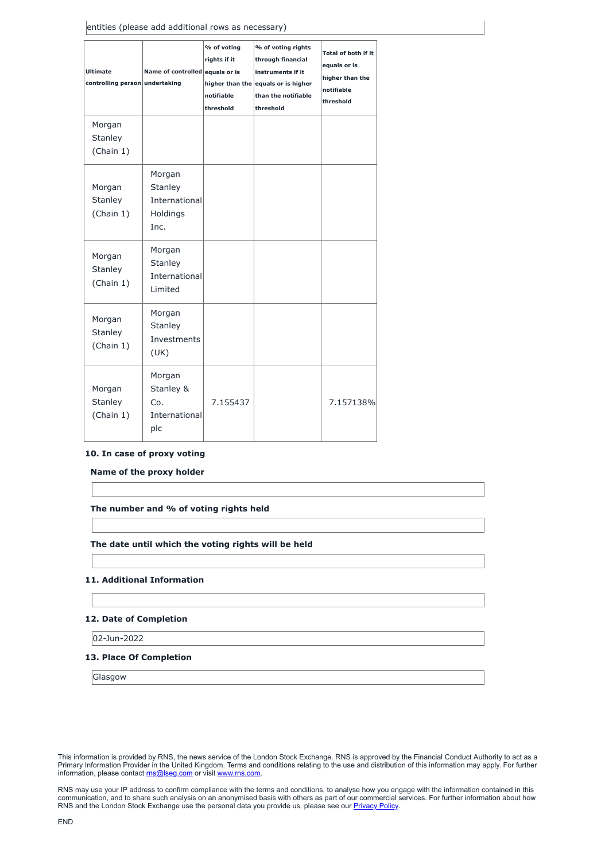| <b>Ultimate</b><br>controlling person undertaking | Name of controlled equals or is                        | % of voting<br>rights if it<br>notifiable<br>threshold | % of voting rights<br>through financial<br>instruments if it<br>higher than the equals or is higher<br>than the notifiable<br>threshold | Total of both if it<br>equals or is<br>higher than the<br>notifiable<br>threshold |
|---------------------------------------------------|--------------------------------------------------------|--------------------------------------------------------|-----------------------------------------------------------------------------------------------------------------------------------------|-----------------------------------------------------------------------------------|
| Morgan<br><b>Stanley</b><br>(Chain 1)             |                                                        |                                                        |                                                                                                                                         |                                                                                   |
| Morgan<br><b>Stanley</b><br>(Chain 1)             | Morgan<br>Stanley<br>International<br>Holdings<br>Inc. |                                                        |                                                                                                                                         |                                                                                   |
| Morgan<br><b>Stanley</b><br>(Chain 1)             | Morgan<br>Stanley<br>International<br>Limited          |                                                        |                                                                                                                                         |                                                                                   |
| Morgan<br>Stanley<br>(Chain 1)                    | Morgan<br>Stanley<br>Investments<br>(UK)               |                                                        |                                                                                                                                         |                                                                                   |
| Morgan<br>Stanley<br>(Chain 1)                    | Morgan<br>Stanley &<br>Co.<br>International<br>plc     | 7.155437                                               |                                                                                                                                         | 7.157138%                                                                         |

This information is provided by RNS, the news service of the London Stock Exchange. RNS is approved by the Financial Conduct Authority to act as a Primary Information Provider in the United Kingdom. Terms and conditions relating to the use and distribution of this information may apply. For further information, please contact **[rns@lseg.com](mailto:rns@lseg.com)** or visit [www.rns.com.](http://www.rns.com/)

RNS may use your IP address to confirm compliance with the terms and conditions, to analyse how you engage with the information contained in this communication, and to share such analysis on an anonymised basis with others as part of our commercial services. For further information about how RNS and the London Stock Exchange use the personal data you provide us, please see our **[Privacy](https://www.lseg.com/privacy-and-cookie-policy) Policy**.

## **10. In case of proxy voting**

**Name of the proxy holder**

**The number and % of voting rights held**

## **The date until which the voting rights will be held**

#### **11. Additional Information**

# **12. Date of Completion**

02-Jun-2022

# **13. Place Of Completion**

Glasgow

END